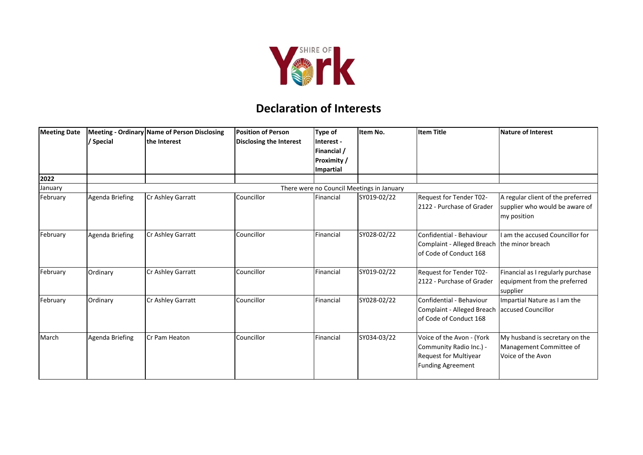

## **Declaration of Interests**

| <b>Meeting Date</b> | / Special                                 | Meeting - Ordinary Name of Person Disclosing<br>the Interest | <b>Position of Person</b><br>Disclosing the Interest | Type of<br>Interest -<br>Financial /<br><b>Proximity</b> /<br>Impartial | Item No.    | <b>Item Title</b>                                                                                         | <b>Nature of Interest</b>                                                          |  |  |
|---------------------|-------------------------------------------|--------------------------------------------------------------|------------------------------------------------------|-------------------------------------------------------------------------|-------------|-----------------------------------------------------------------------------------------------------------|------------------------------------------------------------------------------------|--|--|
| 2022                |                                           |                                                              |                                                      |                                                                         |             |                                                                                                           |                                                                                    |  |  |
| January             | There were no Council Meetings in January |                                                              |                                                      |                                                                         |             |                                                                                                           |                                                                                    |  |  |
| February            | Agenda Briefing                           | Cr Ashley Garratt                                            | Councillor                                           | Financial                                                               | SY019-02/22 | Request for Tender T02-<br>2122 - Purchase of Grader                                                      | A regular client of the preferred<br>supplier who would be aware of<br>my position |  |  |
| February            | Agenda Briefing                           | Cr Ashley Garratt                                            | Councillor                                           | Financial                                                               | SY028-02/22 | Confidential - Behaviour<br>Complaint - Alleged Breach<br>of Code of Conduct 168                          | I am the accused Councillor for<br>the minor breach                                |  |  |
| February            | Ordinary                                  | Cr Ashley Garratt                                            | Councillor                                           | Financial                                                               | SY019-02/22 | Request for Tender T02-<br>2122 - Purchase of Grader                                                      | Financial as I regularly purchase<br>equipment from the preferred<br>supplier      |  |  |
| February            | Ordinary                                  | Cr Ashley Garratt                                            | Councillor                                           | Financial                                                               | SY028-02/22 | Confidential - Behaviour<br><b>Complaint - Alleged Breach</b><br>of Code of Conduct 168                   | Impartial Nature as I am the<br>accused Councillor                                 |  |  |
| March               | Agenda Briefing                           | Cr Pam Heaton                                                | Councillor                                           | Financial                                                               | SY034-03/22 | Voice of the Avon - (York<br>Community Radio Inc.) -<br>Request for Multiyear<br><b>Funding Agreement</b> | My husband is secretary on the<br>Management Committee of<br>Voice of the Avon     |  |  |